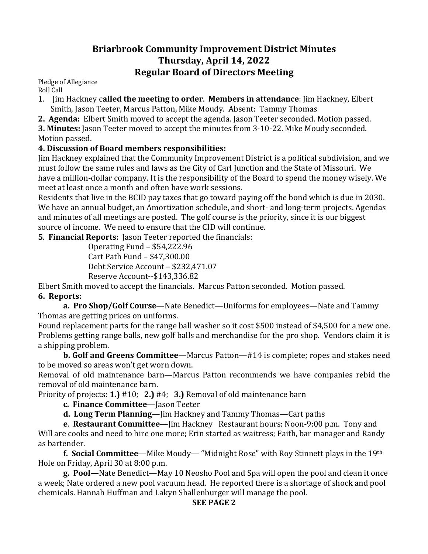# **Briarbrook Community Improvement District Minutes Thursday, April 14, 2022 Regular Board of Directors Meeting**

Pledge of Allegiance Roll Call

- 1. Jim Hackney called the meeting to order. Members in attendance: Jim Hackney, Elbert Smith, Jason Teeter, Marcus Patton, Mike Moudy. Absent: Tammy Thomas
- **2. Agenda:** Elbert Smith moved to accept the agenda. Jason Teeter seconded. Motion passed.

**3. Minutes:** Jason Teeter moved to accept the minutes from 3-10-22. Mike Moudy seconded. Motion passed.

### **4. Discussion of Board members responsibilities:**

Jim Hackney explained that the Community Improvement District is a political subdivision, and we must follow the same rules and laws as the City of Carl Junction and the State of Missouri. We have a million-dollar company. It is the responsibility of the Board to spend the money wisely. We meet at least once a month and often have work sessions.

Residents that live in the BCID pay taxes that go toward paying off the bond which is due in 2030. We have an annual budget, an Amortization schedule, and short- and long-term projects. Agendas and minutes of all meetings are posted. The golf course is the priority, since it is our biggest source of income. We need to ensure that the CID will continue.

**5. Financial Reports:** Jason Teeter reported the financials:

Operating Fund – \$54,222.96 Cart Path Fund – \$47,300.00 Debt Service Account - \$232,471.07 Reserve Account--\$143,336.82

Elbert Smith moved to accept the financials. Marcus Patton seconded. Motion passed.

## **6. Reports:**

**a. Pro Shop/Golf Course**—Nate Benedict—Uniforms for employees—Nate and Tammy Thomas are getting prices on uniforms.

Found replacement parts for the range ball washer so it cost \$500 instead of \$4,500 for a new one. Problems getting range balls, new golf balls and merchandise for the pro shop. Vendors claim it is a shipping problem.

**b.** Golf and Greens Committee—Marcus Patton—#14 is complete; ropes and stakes need to be moved so areas won't get worn down.

Removal of old maintenance barn—Marcus Patton recommends we have companies rebid the removal of old maintenance barn.

Priority of projects: **1.**)  $#10$ ; **2.**)  $#4$ ; **3.**) Removal of old maintenance barn

**c. Finance Committee**—Jason Teeter 

**d. Long Term Planning—** Jim Hackney and Tammy Thomas—Cart paths

**e. Restaurant Committee—Jim Hackney** Restaurant hours: Noon-9:00 p.m. Tony and Will are cooks and need to hire one more; Erin started as waitress; Faith, bar manager and Randy as bartender.

**f. Social Committee—Mike Moudy— "Midnight Rose" with Roy Stinnett plays in the 19th** Hole on Friday, April 30 at 8:00 p.m.

**g. Pool—**Nate Benedict—May 10 Neosho Pool and Spa will open the pool and clean it once a week; Nate ordered a new pool vacuum head. He reported there is a shortage of shock and pool chemicals. Hannah Huffman and Lakyn Shallenburger will manage the pool.